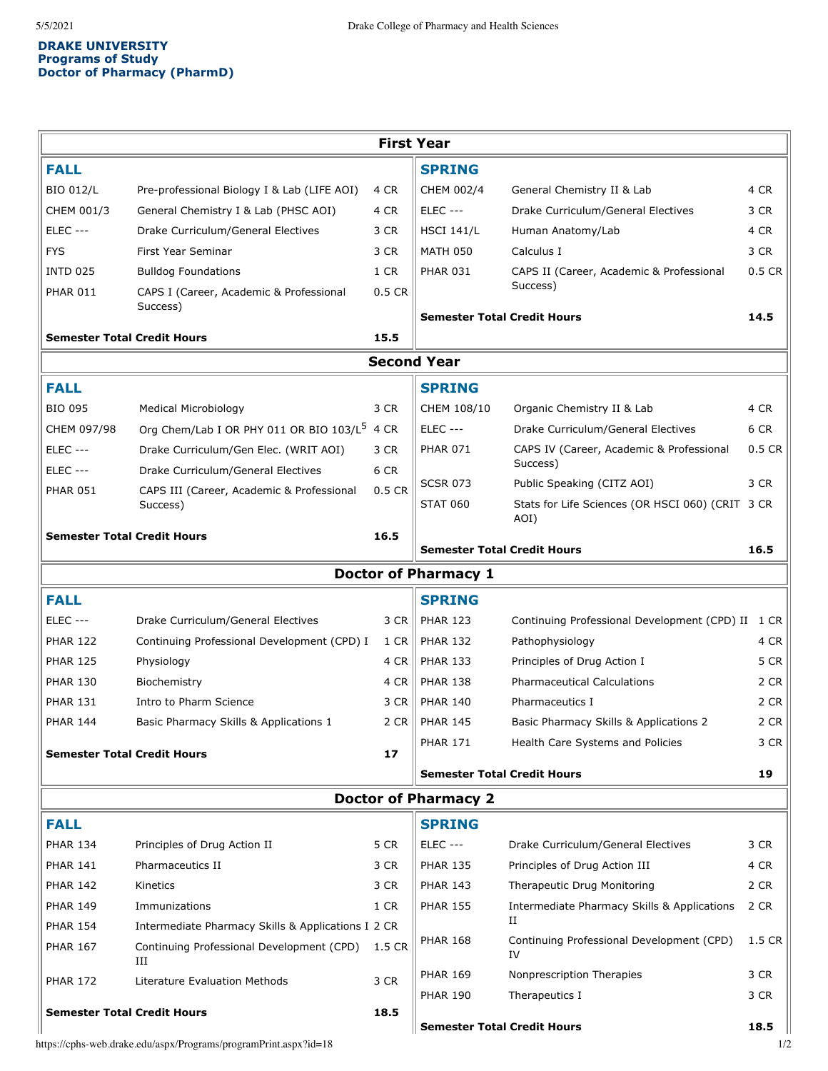## **DRAKE UNIVERSITY Programs of Study Doctor of Pharmacy (PharmD)**

| <b>First Year</b>                                                       |                                                          |          |                                    |                                                      |        |  |  |  |  |
|-------------------------------------------------------------------------|----------------------------------------------------------|----------|------------------------------------|------------------------------------------------------|--------|--|--|--|--|
| <b>FALL</b>                                                             |                                                          |          | <b>SPRING</b>                      |                                                      |        |  |  |  |  |
| <b>BIO 012/L</b>                                                        | Pre-professional Biology I & Lab (LIFE AOI)              | 4 CR     | CHEM 002/4                         | General Chemistry II & Lab                           | 4 CR   |  |  |  |  |
| CHEM 001/3                                                              | General Chemistry I & Lab (PHSC AOI)                     | 4 CR     | <b>ELEC ---</b>                    | Drake Curriculum/General Electives                   | 3 CR   |  |  |  |  |
| <b>ELEC ---</b>                                                         | Drake Curriculum/General Electives                       | 3 CR     | <b>HSCI 141/L</b>                  | Human Anatomy/Lab                                    | 4 CR   |  |  |  |  |
| <b>FYS</b>                                                              | First Year Seminar                                       | 3 CR     | <b>MATH 050</b>                    | Calculus I                                           | 3 CR   |  |  |  |  |
| <b>INTD 025</b>                                                         | <b>Bulldog Foundations</b>                               | 1 CR     | <b>PHAR 031</b>                    | CAPS II (Career, Academic & Professional             | 0.5 CR |  |  |  |  |
| <b>PHAR 011</b>                                                         | CAPS I (Career, Academic & Professional<br>Success)      | $0.5$ CR |                                    | Success)                                             |        |  |  |  |  |
|                                                                         |                                                          |          | <b>Semester Total Credit Hours</b> |                                                      | 14.5   |  |  |  |  |
|                                                                         | <b>Semester Total Credit Hours</b>                       |          |                                    |                                                      |        |  |  |  |  |
| <b>Second Year</b>                                                      |                                                          |          |                                    |                                                      |        |  |  |  |  |
| <b>FALL</b>                                                             |                                                          |          | <b>SPRING</b>                      |                                                      |        |  |  |  |  |
| <b>BIO 095</b>                                                          | Medical Microbiology                                     | 3 CR     | CHEM 108/10                        | Organic Chemistry II & Lab                           | 4 CR   |  |  |  |  |
| CHEM 097/98                                                             | Org Chem/Lab I OR PHY 011 OR BIO 103/L <sup>5</sup> 4 CR |          | <b>ELEC ---</b>                    | Drake Curriculum/General Electives                   | 6 CR   |  |  |  |  |
| <b>ELEC ---</b>                                                         | Drake Curriculum/Gen Elec. (WRIT AOI)                    | 3 CR     | <b>PHAR 071</b>                    | CAPS IV (Career, Academic & Professional<br>Success) | 0.5 CR |  |  |  |  |
| <b>ELEC ---</b>                                                         | Drake Curriculum/General Electives                       | 6 CR     | <b>SCSR 073</b>                    | Public Speaking (CITZ AOI)                           | 3 CR   |  |  |  |  |
| <b>PHAR 051</b>                                                         | CAPS III (Career, Academic & Professional<br>Success)    | 0.5 CR   | <b>STAT 060</b>                    | Stats for Life Sciences (OR HSCI 060) (CRIT<br>AOI)  | 3 CR   |  |  |  |  |
| <b>Semester Total Credit Hours</b>                                      |                                                          | 16.5     |                                    |                                                      |        |  |  |  |  |
|                                                                         |                                                          |          | <b>Semester Total Credit Hours</b> |                                                      | 16.5   |  |  |  |  |
|                                                                         |                                                          |          | <b>Doctor of Pharmacy 1</b>        |                                                      |        |  |  |  |  |
| <b>FALL</b>                                                             |                                                          |          | <b>SPRING</b>                      |                                                      |        |  |  |  |  |
| <b>ELEC ---</b>                                                         | Drake Curriculum/General Electives                       | 3 CR     | <b>PHAR 123</b>                    | Continuing Professional Development (CPD) II 1 CR    |        |  |  |  |  |
| <b>PHAR 122</b>                                                         | Continuing Professional Development (CPD) I              | 1 CR     | <b>PHAR 132</b>                    | Pathophysiology                                      | 4 CR   |  |  |  |  |
| <b>PHAR 125</b>                                                         | Physiology                                               | 4 CR     | <b>PHAR 133</b>                    | Principles of Drug Action I                          | 5 CR   |  |  |  |  |
| <b>PHAR 130</b>                                                         | Biochemistry                                             | 4 CR     | <b>PHAR 138</b>                    | <b>Pharmaceutical Calculations</b>                   | 2 CR   |  |  |  |  |
| <b>PHAR 131</b>                                                         | Intro to Pharm Science                                   | 3 CR     | <b>PHAR 140</b>                    | Pharmaceutics I                                      | 2 CR   |  |  |  |  |
| <b>PHAR 144</b>                                                         | Basic Pharmacy Skills & Applications 1                   | 2 CR     | <b>PHAR 145</b>                    | Basic Pharmacy Skills & Applications 2               | 2 CR   |  |  |  |  |
| <b>Semester Total Credit Hours</b>                                      |                                                          | 17       | <b>PHAR 171</b>                    | Health Care Systems and Policies                     | 3 CR   |  |  |  |  |
|                                                                         |                                                          |          | <b>Semester Total Credit Hours</b> |                                                      | 19     |  |  |  |  |
| <b>Doctor of Pharmacy 2</b>                                             |                                                          |          |                                    |                                                      |        |  |  |  |  |
| <b>FALL</b>                                                             |                                                          |          | <b>SPRING</b>                      |                                                      |        |  |  |  |  |
| <b>PHAR 134</b>                                                         | Principles of Drug Action II                             | 5 CR     | <b>ELEC ---</b>                    | Drake Curriculum/General Electives                   | 3 CR   |  |  |  |  |
| <b>PHAR 141</b>                                                         | Pharmaceutics II                                         | 3 CR     | <b>PHAR 135</b>                    | Principles of Drug Action III                        | 4 CR   |  |  |  |  |
| <b>PHAR 142</b>                                                         | Kinetics                                                 | 3 CR     | <b>PHAR 143</b>                    | Therapeutic Drug Monitoring                          | 2 CR   |  |  |  |  |
| <b>PHAR 149</b>                                                         | Immunizations                                            | 1 CR     | <b>PHAR 155</b>                    | Intermediate Pharmacy Skills & Applications          | 2 CR   |  |  |  |  |
| <b>PHAR 154</b>                                                         | Intermediate Pharmacy Skills & Applications I 2 CR       |          |                                    | П                                                    |        |  |  |  |  |
| <b>PHAR 167</b>                                                         | Continuing Professional Development (CPD)<br>Ш           | 1.5 CR   | <b>PHAR 168</b>                    | Continuing Professional Development (CPD)<br>IV      | 1.5 CR |  |  |  |  |
| <b>PHAR 172</b>                                                         | Literature Evaluation Methods                            | 3 CR     | <b>PHAR 169</b>                    | Nonprescription Therapies                            | 3 CR   |  |  |  |  |
|                                                                         |                                                          |          | <b>PHAR 190</b>                    | Therapeutics I                                       | 3 CR   |  |  |  |  |
|                                                                         | <b>Semester Total Credit Hours</b>                       | 18.5     | <b>Semester Total Credit Hours</b> |                                                      | 18.5   |  |  |  |  |
| https://cphs-web.drake.edu/aspx/Programs/programPrint.aspx?id=18<br>1/2 |                                                          |          |                                    |                                                      |        |  |  |  |  |